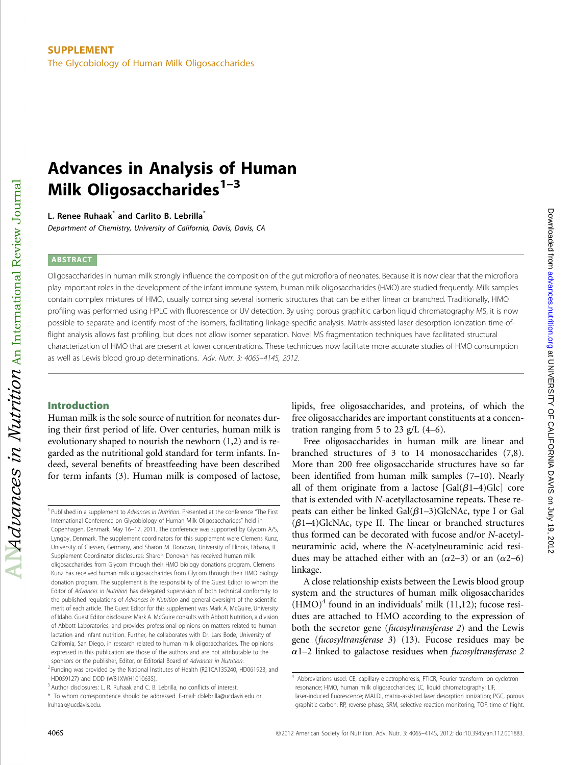# Advances in Analysis of Human Milk Oligosaccharides $1-3$

L. Renee Ruhaak<sup>\*</sup> and Carlito B. Lebrilla<sup>\*</sup> Department of Chemistry, University of California, Davis, Davis, CA

# **ABSTRACT**

Oligosaccharides in human milk strongly influence the composition of the gut microflora of neonates. Because it is now clear that the microflora play important roles in the development of the infant immune system, human milk oligosaccharides (HMO) are studied frequently. Milk samples contain complex mixtures of HMO, usually comprising several isomeric structures that can be either linear or branched. Traditionally, HMO profiling was performed using HPLC with fluorescence or UV detection. By using porous graphitic carbon liquid chromatography MS, it is now possible to separate and identify most of the isomers, facilitating linkage-specific analysis. Matrix-assisted laser desorption ionization time-offlight analysis allows fast profiling, but does not allow isomer separation. Novel MS fragmentation techniques have facilitated structural characterization of HMO that are present at lower concentrations. These techniques now facilitate more accurate studies of HMO consumption as well as Lewis blood group determinations. Adv. Nutr. 3: 406S–414S, 2012.

# Introduction

 $Advances$  in Nutrition  $_{\rm An\ International\ Review\ Journal}$ 

Human milk is the sole source of nutrition for neonates during their first period of life. Over centuries, human milk is evolutionary shaped to nourish the newborn (1,2) and is regarded as the nutritional gold standard for term infants. Indeed, several benefits of breastfeeding have been described for term infants (3). Human milk is composed of lactose, lipids, free oligosaccharides, and proteins, of which the free oligosaccharides are important constituents at a concentration ranging from 5 to 23 g/L  $(4-6)$ .

Free oligosaccharides in human milk are linear and branched structures of 3 to 14 monosaccharides (7,8). More than 200 free oligosaccharide structures have so far been identified from human milk samples (7–10). Nearly all of them originate from a lactose  $[Gal(\beta1-4)Glc]$  core that is extended with N-acetyllactosamine repeats. These repeats can either be linked  $Gal(\beta1-3)GLNAC$ , type I or Gal  $(\beta1-4)$ GlcNAc, type II. The linear or branched structures thus formed can be decorated with fucose and/or N-acetylneuraminic acid, where the N-acetylneuraminic acid residues may be attached either with an  $(\alpha 2-3)$  or an  $(\alpha 2-6)$ linkage.

A close relationship exists between the Lewis blood group system and the structures of human milk oligosaccharides  $(HMO)^4$  found in an individuals' milk (11,12); fucose residues are attached to HMO according to the expression of both the secretor gene (fucosyltransferase 2) and the Lewis gene (fucosyltransferase 3) (13). Fucose residues may be  $\alpha$ 1–2 linked to galactose residues when fucosyltransferase 2

<sup>&</sup>lt;sup>1</sup> Published in a supplement to Advances in Nutrition. Presented at the conference "The First International Conference on Glycobiology of Human Milk Oligosaccharides" held in Copenhagen, Denmark, May 16–17, 2011. The conference was supported by Glycom A/S, Lyngby, Denmark. The supplement coordinators for this supplement were Clemens Kunz, University of Giessen, Germany, and Sharon M. Donovan, University of Illinois, Urbana, IL. Supplement Coordinator disclosures: Sharon Donovan has received human milk oligosaccharides from Glycom through their HMO biology donations program. Clemens Kunz has received human milk oligosaccharides from Glycom through their HMO biology donation program. The supplement is the responsibility of the Guest Editor to whom the Editor of Advances in Nutrition has delegated supervision of both technical conformity to the published regulations of Advances in Nutrition and general oversight of the scientific merit of each article. The Guest Editor for this supplement was Mark A. McGuire, University of Idaho. Guest Editor disclosure: Mark A. McGuire consults with Abbott Nutrition, a division of Abbott Laboratories, and provides professional opinions on matters related to human lactation and infant nutrition. Further, he collaborates with Dr. Lars Bode, University of California, San Diego, in research related to human milk oligosaccharides. The opinions expressed in this publication are those of the authors and are not attributable to the sponsors or the publisher, Editor, or Editorial Board of Advances in Nutrition.

<sup>&</sup>lt;sup>2</sup> Funding was provided by the National Institutes of Health (R21CA135240, HD061923, and HD059127) and DOD (W81XWH1010635).

<sup>&</sup>lt;sup>3</sup> Author disclosures: L. R. Ruhaak and C. B. Lebrilla, no conflicts of interest.

<sup>\*</sup> To whom correspondence should be addressed. E-mail: cblebrilla@ucdavis.edu or lruhaak@ucdavis.edu.

<sup>4</sup> Abbreviations used: CE, capillary electrophoresis; FTICR, Fourier transform ion cyclotron resonance; HMO, human milk oligosaccharides; LC, liquid chromatography; LIF, laser-induced fluorescence; MALDI, matrix-assisted laser desorption ionization; PGC, porous graphitic carbon; RP, reverse phase; SRM, selective reaction monitoring; TOF, time of flight.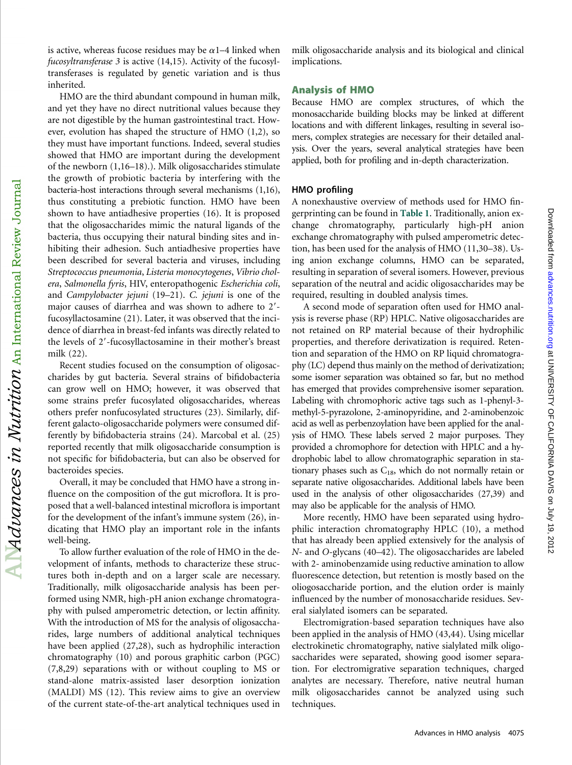is active, whereas fucose residues may be  $\alpha$ 1–4 linked when fucosyltransferase 3 is active (14,15). Activity of the fucosyltransferases is regulated by genetic variation and is thus inherited.

HMO are the third abundant compound in human milk, and yet they have no direct nutritional values because they are not digestible by the human gastrointestinal tract. However, evolution has shaped the structure of HMO (1,2), so they must have important functions. Indeed, several studies showed that HMO are important during the development of the newborn (1,16–18).). Milk oligosaccharides stimulate the growth of probiotic bacteria by interfering with the bacteria-host interactions through several mechanisms (1,16), thus constituting a prebiotic function. HMO have been shown to have antiadhesive properties (16). It is proposed that the oligosaccharides mimic the natural ligands of the bacteria, thus occupying their natural binding sites and inhibiting their adhesion. Such antiadhesive properties have been described for several bacteria and viruses, including Streptococcus pneumonia, Listeria monocytogenes, Vibrio cholera, Salmonella fyris, HIV, enteropathogenic Escherichia coli, and Campylobacter jejuni (19–21). C. jejuni is one of the major causes of diarrhea and was shown to adhere to 2'fucosyllactosamine (21). Later, it was observed that the incidence of diarrhea in breast-fed infants was directly related to the levels of 2'-fucosyllactosamine in their mother's breast milk (22).

Recent studies focused on the consumption of oligosaccharides by gut bacteria. Several strains of bifidobacteria can grow well on HMO; however, it was observed that some strains prefer fucosylated oligosaccharides, whereas others prefer nonfucosylated structures (23). Similarly, different galacto-oligosaccharide polymers were consumed differently by bifidobacteria strains (24). Marcobal et al. (25) reported recently that milk oligosaccharide consumption is not specific for bifidobacteria, but can also be observed for bacteroides species.

Overall, it may be concluded that HMO have a strong influence on the composition of the gut microflora. It is proposed that a well-balanced intestinal microflora is important for the development of the infant's immune system (26), indicating that HMO play an important role in the infants well-being.

To allow further evaluation of the role of HMO in the development of infants, methods to characterize these structures both in-depth and on a larger scale are necessary. Traditionally, milk oligosaccharide analysis has been performed using NMR, high-pH anion exchange chromatography with pulsed amperometric detection, or lectin affinity. With the introduction of MS for the analysis of oligosaccharides, large numbers of additional analytical techniques have been applied (27,28), such as hydrophilic interaction chromatography (10) and porous graphitic carbon (PGC) (7,8,29) separations with or without coupling to MS or stand-alone matrix-assisted laser desorption ionization (MALDI) MS (12). This review aims to give an overview of the current state-of-the-art analytical techniques used in

milk oligosaccharide analysis and its biological and clinical implications.

### Analysis of HMO

Because HMO are complex structures, of which the monosaccharide building blocks may be linked at different locations and with different linkages, resulting in several isomers, complex strategies are necessary for their detailed analysis. Over the years, several analytical strategies have been applied, both for profiling and in-depth characterization.

### HMO profiling

A nonexhaustive overview of methods used for HMO fingerprinting can be found in Table 1. Traditionally, anion exchange chromatography, particularly high-pH anion exchange chromatography with pulsed amperometric detection, has been used for the analysis of HMO (11,30–38). Using anion exchange columns, HMO can be separated, resulting in separation of several isomers. However, previous separation of the neutral and acidic oligosaccharides may be required, resulting in doubled analysis times.

A second mode of separation often used for HMO analysis is reverse phase (RP) HPLC. Native oligosaccharides are not retained on RP material because of their hydrophilic properties, and therefore derivatization is required. Retention and separation of the HMO on RP liquid chromatography (LC) depend thus mainly on the method of derivatization; some isomer separation was obtained so far, but no method has emerged that provides comprehensive isomer separation. Labeling with chromophoric active tags such as 1-phenyl-3 methyl-5-pyrazolone, 2-aminopyridine, and 2-aminobenzoic acid as well as perbenzoylation have been applied for the analysis of HMO. These labels served 2 major purposes. They provided a chromophore for detection with HPLC and a hydrophobic label to allow chromatographic separation in stationary phases such as  $C_{18}$ , which do not normally retain or separate native oligosaccharides. Additional labels have been used in the analysis of other oligosaccharides (27,39) and may also be applicable for the analysis of HMO.

Downloaded tron [advances.nutrition.org](http://advances.nutrition.org/) at CALIFORNIA DAVIS on July 19, 2012 advances.nutrition.org D

Downloaded from advances.nutrition.org at UNIVERSITY OF CALIFORNIA DAVIS on July 19, 2012

More recently, HMO have been separated using hydrophilic interaction chromatography HPLC (10), a method that has already been applied extensively for the analysis of N- and O-glycans (40–42). The oligosaccharides are labeled with 2- aminobenzamide using reductive amination to allow fluorescence detection, but retention is mostly based on the oliogosaccharide portion, and the elution order is mainly influenced by the number of monosaccharide residues. Several sialylated isomers can be separated.

Electromigration-based separation techniques have also been applied in the analysis of HMO (43,44). Using micellar electrokinetic chromatography, native sialylated milk oligosaccharides were separated, showing good isomer separation. For electromigrative separation techniques, charged analytes are necessary. Therefore, native neutral human milk oligosaccharides cannot be analyzed using such techniques.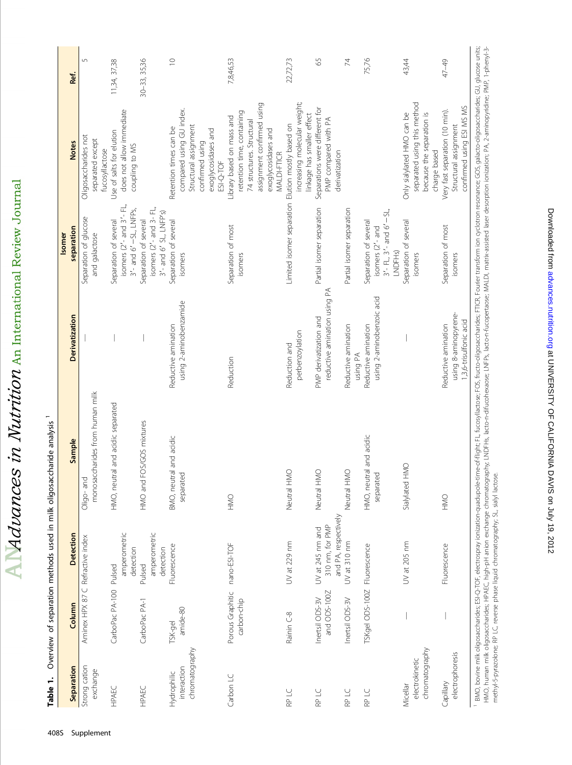$\Delta$  Malvances in Nutrition An International Review Journal

|                                              |                                  |                                                             |                                      |                                                        | Isomer                                                                                               |                                                                                                                                           |                   |
|----------------------------------------------|----------------------------------|-------------------------------------------------------------|--------------------------------------|--------------------------------------------------------|------------------------------------------------------------------------------------------------------|-------------------------------------------------------------------------------------------------------------------------------------------|-------------------|
| Separation                                   | Column                           | Detection                                                   | Sample                               | <b>Derivatization</b>                                  | separation                                                                                           | <b>Notes</b>                                                                                                                              | Ref.              |
| Strong cation                                | Aminex HPX 87 C Refractive index |                                                             | Oligo-and                            |                                                        | Separation of glucose                                                                                | Oligosaccharides not                                                                                                                      | 5                 |
| exchange                                     |                                  |                                                             | monosaccharides from human milk      |                                                        | and galactose                                                                                        | separated except<br>fucosyllactose                                                                                                        |                   |
| HPAEC                                        | CarboPac PA-100 Pulsed           |                                                             | HMO, neutral and acidic separated    |                                                        | Separation of several                                                                                | Use of salts for elution                                                                                                                  | 11,34, 37,38      |
|                                              |                                  | amperometric<br>detection                                   |                                      |                                                        | isomers (2'- and 3'- FL,<br>$3'$ - and $6'$ - SL, LNFP <sub>S</sub> ,                                | does not allow immediate<br>coupling to MS                                                                                                |                   |
| HPAEC                                        | CarboPac PA-1                    | amperometric<br>detection<br>Pulsed                         | HMO and FOS/GOS mixtures             |                                                        | isomers (2'- and 3- FL,<br>3'- and 6' SL, LNFP's)<br>Separation of several                           |                                                                                                                                           | $30 - 33, 35, 36$ |
| interaction<br>Hydrophilic                   | $amide-80$<br>TSK-gel            | Fluorescence                                                | BMO, neutral and acidic<br>separated | using 2-aminobenzamide<br>Reductive amination          | Separation of several<br>isomers                                                                     | compared using GU index.<br>Retention times can be                                                                                        | $\supseteq$       |
| chromatography                               |                                  |                                                             |                                      |                                                        |                                                                                                      | Structural assignment<br>exoglycosidases and<br>confirmed using<br>ESI-Q-TOF                                                              |                   |
| Carbon LC                                    | Porous Graphitic<br>carbon-chip  | nano-ESI-TOF                                                | <b>SIVE</b>                          | Reduction                                              | Separation of most<br>isomers                                                                        | assignment confirmed using<br>retention time, containing<br>Library based on mass and<br>74 structures. Structural<br>exoglycosidases and | 7,8,46,53         |
|                                              |                                  |                                                             |                                      |                                                        |                                                                                                      | MALDI-FTICR                                                                                                                               |                   |
| RP LC                                        | Rainin C-8                       | UV at 229 nm                                                | ONH<br>Neutral                       | perbenzoylation<br>Reduction and                       | Limited isomer separation Elution mostly based on                                                    | increasing molecular weight;<br>linkage has smaller effect                                                                                | 22,72,73          |
| RP LC                                        | and ODS-100Z<br>Inertsil ODS-3V  | and PA, respectively<br>310 nm, for PMP<br>UV at 245 nm and | ONH<br>Neutral                       | reductive amination using PA<br>PMP derivatization and | Partial isomer separation                                                                            | Separations were different for<br>PMP compared with PA<br>derivatization                                                                  | 59                |
| RP LC                                        | Inertsil ODS-3V                  | UV at 310 nm                                                | ONH<br>Neutral                       | Reductive amination<br>using PA                        | Partial isomer separation                                                                            |                                                                                                                                           | 74                |
| RP LC                                        | TSKgel ODS-100Z Fluorescence     |                                                             | HMO, neutral and acidic<br>separated | using 2-aminobenzoic acid<br>Reductive amination       | $3'$ - FL, $3'$ - and $6'$ - SL<br>Separation of several<br>isomers (2'- and<br>LNDFH <sub>S</sub> ) |                                                                                                                                           | 75,76             |
| chromatography<br>electrokinetic<br>Micellar |                                  | UV at 205 nm                                                | Sialylated HMO                       |                                                        | Separation of several<br>isomers                                                                     | separated using this method<br>because the separation is<br>Only sialylated HMO can be<br>charge based                                    | 43,44             |
| electrophoresis<br>Capillary                 |                                  | Fluorescence                                                | <b>ONH</b>                           | using 8-aminopyrene-<br>Reductive amination            | Separation of most<br>isomers                                                                        | Very fast separation (10 min).<br>Structural assignment                                                                                   | 47-49             |

Table 1. Overview of separation methods used in milk oligosaccharide analysis 1 Table 1. Overview of separation methods used in milk oligosaccharide analysis 1

HMO, human milk oligosaccharides; HPAEC, high-pH anion exchange chromatography; LNDFHs, lacto-n-ditucohexaose; LNFPs, lacto-n-fucopertaose; MALD), matrix-assisted laser desorption ionization; PA, 2-aminopyridine; PMP, 1-ph MO, bovine milk oligosaccharides; ESI-Q-TOF, electrospray ionization-quadupole-time-of-flight; FL, fucosyllactose; FOS, fructo-oligosaccharides; FTICR, Fourier transform ion cyclotron resonance; GOS, galacto-oligosaccharid Ⅰ BMO, bowine milk oligosaccharides; E1-Q-T-OF, electrospray ionization-quadupole-time-of-flight; FL, Cucosyllactose; FDG, Fourier of, FITCR, Fourier transform ion cyclotron resonance; GOS, galacto-oligosaccharides; GU, g HMO, human milk oligosaccharides; HPAEC, high-pH anion exchange chromange echomangerbapy; LHCH, lacto-n-dificobexaose; LNFPs, lacto-n-fucopertaose; MALD), matrix-assisted laser desorption ionization; PA, 2-aminopyridine; P methyl-5-pyrazolone; RP LC, reverse phase liquid chromatography; SL, sialyl lactose.

1,3,6-trisulfonic acid

1,3,6-trisulfonic acid

confirmed using ESI MS MS

confirmed using ESI MS MS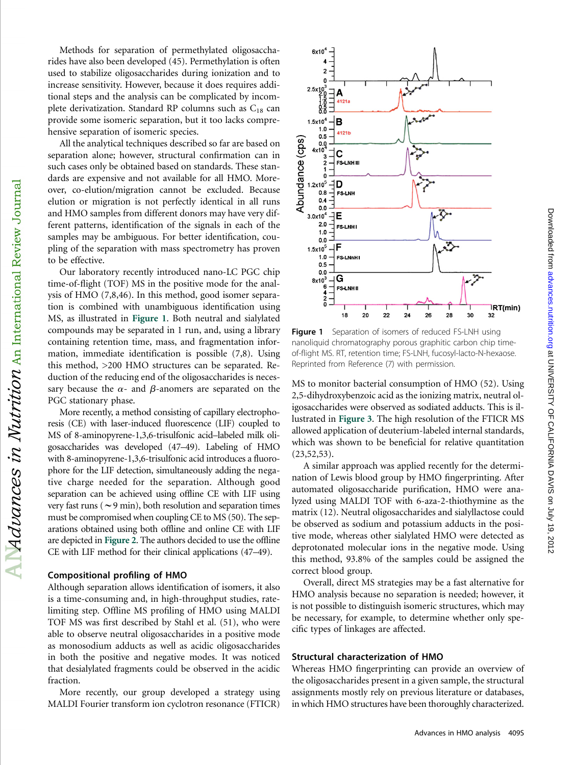Methods for separation of permethylated oligosaccharides have also been developed (45). Permethylation is often used to stabilize oligosaccharides during ionization and to increase sensitivity. However, because it does requires additional steps and the analysis can be complicated by incomplete derivatization. Standard RP columns such as  $C_{18}$  can provide some isomeric separation, but it too lacks comprehensive separation of isomeric species.

All the analytical techniques described so far are based on separation alone; however, structural confirmation can in such cases only be obtained based on standards. These standards are expensive and not available for all HMO. Moreover, co-elution/migration cannot be excluded. Because elution or migration is not perfectly identical in all runs and HMO samples from different donors may have very different patterns, identification of the signals in each of the samples may be ambiguous. For better identification, coupling of the separation with mass spectrometry has proven to be effective.

Our laboratory recently introduced nano-LC PGC chip time-of-flight (TOF) MS in the positive mode for the analysis of HMO (7,8,46). In this method, good isomer separation is combined with unambiguous identification using MS, as illustrated in Figure 1. Both neutral and sialylated compounds may be separated in 1 run, and, using a library containing retention time, mass, and fragmentation information, immediate identification is possible (7,8). Using this method, >200 HMO structures can be separated. Reduction of the reducing end of the oligosaccharides is necessary because the  $\alpha$ - and  $\beta$ -anomers are separated on the PGC stationary phase.

More recently, a method consisting of capillary electrophoresis (CE) with laser-induced fluorescence (LIF) coupled to MS of 8-aminopyrene-1,3,6-trisulfonic acid–labeled milk oligosaccharides was developed (47–49). Labeling of HMO with 8-aminopyrene-1,3,6-trisulfonic acid introduces a fluorophore for the LIF detection, simultaneously adding the negative charge needed for the separation. Although good separation can be achieved using offline CE with LIF using very fast runs ( $\sim$ 9 min), both resolution and separation times must be compromised when coupling CE to MS (50). The separations obtained using both offline and online CE with LIF are depicted in Figure 2. The authors decided to use the offline CE with LIF method for their clinical applications (47–49).

#### Compositional profiling of HMO

 $\rm Al$   $\cal M}$ dvances in  $\rm {N}$ utrition  $\rm _{An\,\, International\,\, Review\,\, Journal}$ 

Although separation allows identification of isomers, it also is a time-consuming and, in high-throughput studies, ratelimiting step. Offline MS profiling of HMO using MALDI TOF MS was first described by Stahl et al. (51), who were able to observe neutral oligosaccharides in a positive mode as monosodium adducts as well as acidic oligosaccharides in both the positive and negative modes. It was noticed that desialylated fragments could be observed in the acidic fraction.

More recently, our group developed a strategy using MALDI Fourier transform ion cyclotron resonance (FTICR)



Figure 1 Separation of isomers of reduced FS-LNH using nanoliquid chromatography porous graphitic carbon chip timeof-flight MS. RT, retention time; FS-LNH, fucosyl-lacto-N-hexaose. Reprinted from Reference (7) with permission.

MS to monitor bacterial consumption of HMO (52). Using 2,5-dihydroxybenzoic acid as the ionizing matrix, neutral oligosaccharides were observed as sodiated adducts. This is illustrated in Figure 3. The high resolution of the FTICR MS allowed application of deuterium-labeled internal standards, which was shown to be beneficial for relative quantitation  $(23, 52, 53).$ 

A similar approach was applied recently for the determination of Lewis blood group by HMO fingerprinting. After automated oligosaccharide purification, HMO were analyzed using MALDI TOF with 6-aza-2-thiothymine as the matrix (12). Neutral oligosaccharides and sialyllactose could be observed as sodium and potassium adducts in the positive mode, whereas other sialylated HMO were detected as deprotonated molecular ions in the negative mode. Using this method, 93.8% of the samples could be assigned the correct blood group.

Overall, direct MS strategies may be a fast alternative for HMO analysis because no separation is needed; however, it is not possible to distinguish isomeric structures, which may be necessary, for example, to determine whether only specific types of linkages are affected.

# Structural characterization of HMO

Whereas HMO fingerprinting can provide an overview of the oligosaccharides present in a given sample, the structural assignments mostly rely on previous literature or databases, in which HMO structures have been thoroughly characterized.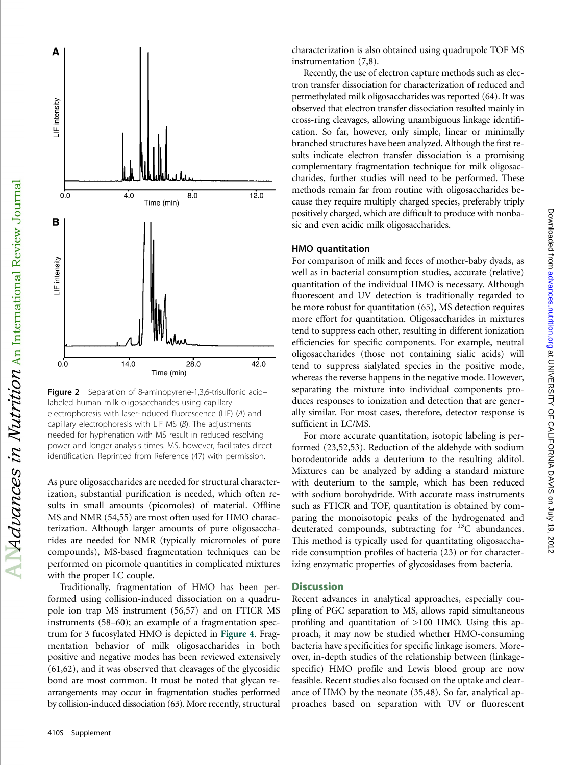

Figure 2 Separation of 8-aminopyrene-1,3,6-trisulfonic acidlabeled human milk oligosaccharides using capillary electrophoresis with laser-induced fluorescence (LIF) (A) and capillary electrophoresis with LIF MS (B). The adjustments needed for hyphenation with MS result in reduced resolving power and longer analysis times. MS, however, facilitates direct identification. Reprinted from Reference (47) with permission.

As pure oligosaccharides are needed for structural characterization, substantial purification is needed, which often results in small amounts (picomoles) of material. Offline MS and NMR (54,55) are most often used for HMO characterization. Although larger amounts of pure oligosaccharides are needed for NMR (typically micromoles of pure compounds), MS-based fragmentation techniques can be performed on picomole quantities in complicated mixtures with the proper LC couple.

Traditionally, fragmentation of HMO has been performed using collision-induced dissociation on a quadrupole ion trap MS instrument (56,57) and on FTICR MS instruments (58–60); an example of a fragmentation spectrum for 3 fucosylated HMO is depicted in Figure 4. Fragmentation behavior of milk oligosaccharides in both positive and negative modes has been reviewed extensively (61,62), and it was observed that cleavages of the glycosidic bond are most common. It must be noted that glycan rearrangements may occur in fragmentation studies performed by collision-induced dissociation (63). More recently, structural

characterization is also obtained using quadrupole TOF MS instrumentation (7,8).

Recently, the use of electron capture methods such as electron transfer dissociation for characterization of reduced and permethylated milk oligosaccharides was reported (64). It was observed that electron transfer dissociation resulted mainly in cross-ring cleavages, allowing unambiguous linkage identification. So far, however, only simple, linear or minimally branched structures have been analyzed. Although the first results indicate electron transfer dissociation is a promising complementary fragmentation technique for milk oligosaccharides, further studies will need to be performed. These methods remain far from routine with oligosaccharides because they require multiply charged species, preferably triply positively charged, which are difficult to produce with nonbasic and even acidic milk oligosaccharides.

#### HMO quantitation

For comparison of milk and feces of mother-baby dyads, as well as in bacterial consumption studies, accurate (relative) quantitation of the individual HMO is necessary. Although fluorescent and UV detection is traditionally regarded to be more robust for quantitation (65), MS detection requires more effort for quantitation. Oligosaccharides in mixtures tend to suppress each other, resulting in different ionization efficiencies for specific components. For example, neutral oligosaccharides (those not containing sialic acids) will tend to suppress sialylated species in the positive mode, whereas the reverse happens in the negative mode. However, separating the mixture into individual components produces responses to ionization and detection that are generally similar. For most cases, therefore, detector response is sufficient in LC/MS.

Downloaded trop using the UNIVERSITY OF CALIFORNIA DAVIS on July 19, 2012 [advances.nutrition.org](http://advances.nutrition.org/) Downloaded from an  $\sim$ 

Downloaded from advances.nutrition.org at UNIVERSITY OF CALIFORNIA DAVIS on July 19, 2012

For more accurate quantitation, isotopic labeling is performed (23,52,53). Reduction of the aldehyde with sodium borodeutoride adds a deuterium to the resulting alditol. Mixtures can be analyzed by adding a standard mixture with deuterium to the sample, which has been reduced with sodium borohydride. With accurate mass instruments such as FTICR and TOF, quantitation is obtained by comparing the monoisotopic peaks of the hydrogenated and deuterated compounds, subtracting for  $^{13}C$  abundances. This method is typically used for quantitating oligosaccharide consumption profiles of bacteria (23) or for characterizing enzymatic properties of glycosidases from bacteria.

### **Discussion**

Recent advances in analytical approaches, especially coupling of PGC separation to MS, allows rapid simultaneous profiling and quantitation of >100 HMO. Using this approach, it may now be studied whether HMO-consuming bacteria have specificities for specific linkage isomers. Moreover, in-depth studies of the relationship between (linkagespecific) HMO profile and Lewis blood group are now feasible. Recent studies also focused on the uptake and clearance of HMO by the neonate (35,48). So far, analytical approaches based on separation with UV or fluorescent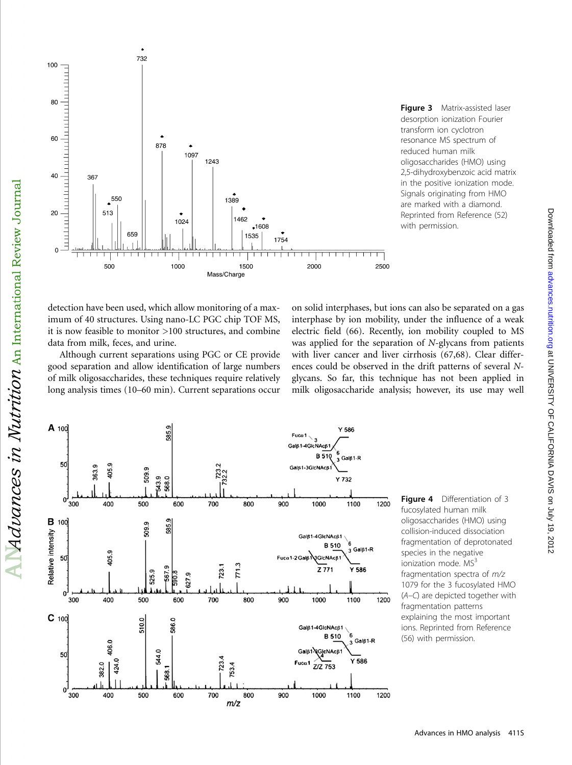

Figure 3 Matrix-assisted laser desorption ionization Fourier transform ion cyclotron resonance MS spectrum of reduced human milk oligosaccharides (HMO) using 2,5-dihydroxybenzoic acid matrix in the positive ionization mode. Signals originating from HMO are marked with a diamond. Reprinted from Reference (52) with permission.

detection have been used, which allow monitoring of a maximum of 40 structures. Using nano-LC PGC chip TOF MS, it is now feasible to monitor >100 structures, and combine data from milk, feces, and urine.

Although current separations using PGC or CE provide good separation and allow identification of large numbers of milk oligosaccharides, these techniques require relatively long analysis times (10–60 min). Current separations occur

on solid interphases, but ions can also be separated on a gas interphase by ion mobility, under the influence of a weak electric field (66). Recently, ion mobility coupled to MS was applied for the separation of N-glycans from patients with liver cancer and liver cirrhosis (67,68). Clear differences could be observed in the drift patterns of several Nglycans. So far, this technique has not been applied in milk oligosaccharide analysis; however, its use may well



Figure 4 Differentiation of 3 fucosylated human milk oligosaccharides (HMO) using collision-induced dissociation fragmentation of deprotonated species in the negative ionization mode.  $MS<sup>3</sup>$ fragmentation spectra of m/z 1079 for the 3 fucosylated HMO (A–C) are depicted together with fragmentation patterns explaining the most important ions. Reprinted from Reference (56) with permission.

Downloaded trop using the UNIVERSITY OF CALIFORNIA DAVIS on July 19, 2012 [advances.nutrition.org](http://advances.nutrition.org/) Downloaded from an  $\sim$ 

Downloaded from advances nutrition.org at UNIVERSITY OF CALIFORNIA DAVIS on July 19, 2012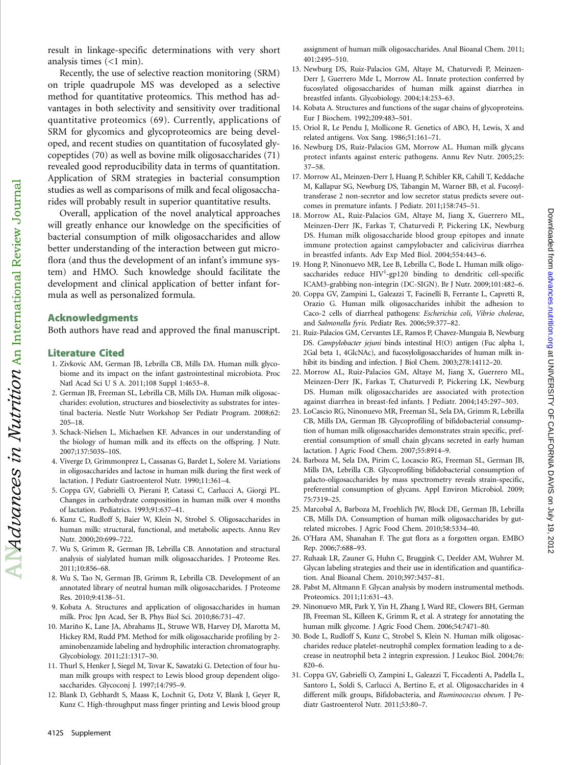result in linkage-specific determinations with very short analysis times (<1 min).

Recently, the use of selective reaction monitoring (SRM) on triple quadrupole MS was developed as a selective method for quantitative proteomics. This method has advantages in both selectivity and sensitivity over traditional quantitative proteomics (69). Currently, applications of SRM for glycomics and glycoproteomics are being developed, and recent studies on quantitation of fucosylated glycopeptides (70) as well as bovine milk oligosaccharides (71) revealed good reproducibility data in terms of quantitation. Application of SRM strategies in bacterial consumption studies as well as comparisons of milk and fecal oligosaccharides will probably result in superior quantitative results.

Overall, application of the novel analytical approaches will greatly enhance our knowledge on the specificities of bacterial consumption of milk oligosaccharides and allow better understanding of the interaction between gut microflora (and thus the development of an infant's immune system) and HMO. Such knowledge should facilitate the development and clinical application of better infant formula as well as personalized formula.

# Acknowledgments

Both authors have read and approved the final manuscript.

# Literature Cited

- 1. Zivkovic AM, German JB, Lebrilla CB, Mills DA. Human milk glycobiome and its impact on the infant gastrointestinal microbiota. Proc Natl Acad Sci U S A. 2011;108 Suppl 1:4653–8.
- 2. German JB, Freeman SL, Lebrilla CB, Mills DA. Human milk oligosaccharides: evolution, structures and bioselectivity as substrates for intestinal bacteria. Nestle Nutr Workshop Ser Pediatr Program. 2008;62: 205–18.
- 3. Schack-Nielsen L, Michaelsen KF. Advances in our understanding of the biology of human milk and its effects on the offspring. J Nutr. 2007;137:503S–10S.
- 4. Viverge D, Grimmonprez L, Cassanas G, Bardet L, Solere M. Variations in oligosaccharides and lactose in human milk during the first week of lactation. J Pediatr Gastroenterol Nutr. 1990;11:361–4.
- 5. Coppa GV, Gabrielli O, Pierani P, Catassi C, Carlucci A, Giorgi PL. Changes in carbohydrate composition in human milk over 4 months of lactation. Pediatrics. 1993;91:637–41.
- 6. Kunz C, Rudloff S, Baier W, Klein N, Strobel S. Oligosaccharides in human milk: structural, functional, and metabolic aspects. Annu Rev Nutr. 2000;20:699–722.
- 7. Wu S, Grimm R, German JB, Lebrilla CB. Annotation and structural analysis of sialylated human milk oligosaccharides. J Proteome Res. 2011;10:856–68.
- 8. Wu S, Tao N, German JB, Grimm R, Lebrilla CB. Development of an annotated library of neutral human milk oligosaccharides. J Proteome Res. 2010;9:4138–51.
- 9. Kobata A. Structures and application of oligosaccharides in human milk. Proc Jpn Acad, Ser B, Phys Biol Sci. 2010;86:731–47.
- 10. Mariño K, Lane JA, Abrahams JL, Struwe WB, Harvey DJ, Marotta M, Hickey RM, Rudd PM. Method for milk oligosaccharide profiling by 2 aminobenzamide labeling and hydrophilic interaction chromatography. Glycobiology. 2011;21:1317–30.
- 11. Thurl S, Henker J, Siegel M, Tovar K, Sawatzki G. Detection of four human milk groups with respect to Lewis blood group dependent oligosaccharides. Glycoconj J. 1997;14:795-9.
- 12. Blank D, Gebhardt S, Maass K, Lochnit G, Dotz V, Blank J, Geyer R, Kunz C. High-throughput mass finger printing and Lewis blood group

assignment of human milk oligosaccharides. Anal Bioanal Chem. 2011; 401:2495–510.

- 13. Newburg DS, Ruiz-Palacios GM, Altaye M, Chaturvedi P, Meinzen-Derr J, Guerrero Mde L, Morrow AL. Innate protection conferred by fucosylated oligosaccharides of human milk against diarrhea in breastfed infants. Glycobiology. 2004;14:253–63.
- 14. Kobata A. Structures and functions of the sugar chains of glycoproteins. Eur J Biochem. 1992;209:483–501.
- 15. Oriol R, Le Pendu J, Mollicone R. Genetics of ABO, H, Lewis, X and related antigens. Vox Sang. 1986;51:161–71.
- 16. Newburg DS, Ruiz-Palacios GM, Morrow AL. Human milk glycans protect infants against enteric pathogens. Annu Rev Nutr. 2005;25: 37–58.
- 17. Morrow AL, Meinzen-Derr J, Huang P, Schibler KR, Cahill T, Keddache M, Kallapur SG, Newburg DS, Tabangin M, Warner BB, et al. Fucosyltransferase 2 non-secretor and low secretor status predicts severe outcomes in premature infants. J Pediatr. 2011;158:745–51.
- 18. Morrow AL, Ruiz-Palacios GM, Altaye M, Jiang X, Guerrero ML, Meinzen-Derr JK, Farkas T, Chaturvedi P, Pickering LK, Newburg DS. Human milk oligosaccharide blood group epitopes and innate immune protection against campylobacter and calicivirus diarrhea in breastfed infants. Adv Exp Med Biol. 2004;554:443–6.
- 19. Hong P, Ninonuevo MR, Lee B, Lebrilla C, Bode L. Human milk oligosaccharides reduce  $HIV<sup>1</sup>$ -gp120 binding to dendritic cell-specific ICAM3-grabbing non-integrin (DC-SIGN). Br J Nutr. 2009;101:482–6.
- 20. Coppa GV, Zampini L, Galeazzi T, Facinelli B, Ferrante L, Capretti R, Orazio G. Human milk oligosaccharides inhibit the adhesion to Caco-2 cells of diarrheal pathogens: Escherichia coli, Vibrio cholerae, and Salmonella fyris. Pediatr Res. 2006;59:377–82.
- 21. Ruiz-Palacios GM, Cervantes LE, Ramos P, Chavez-Munguia B, Newburg DS. Campylobacter jejuni binds intestinal H(O) antigen (Fuc alpha 1, 2Gal beta 1, 4GlcNAc), and fucosyloligosaccharides of human milk inhibit its binding and infection. J Biol Chem. 2003;278:14112–20.
- 22. Morrow AL, Ruiz-Palacios GM, Altaye M, Jiang X, Guerrero ML, Meinzen-Derr JK, Farkas T, Chaturvedi P, Pickering LK, Newburg DS. Human milk oligosaccharides are associated with protection against diarrhea in breast-fed infants. J Pediatr. 2004;145:297–303.
- 23. LoCascio RG, Ninonuevo MR, Freeman SL, Sela DA, Grimm R, Lebrilla CB, Mills DA, German JB. Glycoprofiling of bifidobacterial consumption of human milk oligosaccharides demonstrates strain specific, preferential consumption of small chain glycans secreted in early human lactation. J Agric Food Chem. 2007;55:8914–9.
- 24. Barboza M, Sela DA, Pirim C, Locascio RG, Freeman SL, German JB, Mills DA, Lebrilla CB. Glycoprofiling bifidobacterial consumption of galacto-oligosaccharides by mass spectrometry reveals strain-specific, preferential consumption of glycans. Appl Environ Microbiol. 2009; 75:7319–25.
- 25. Marcobal A, Barboza M, Froehlich JW, Block DE, German JB, Lebrilla CB, Mills DA. Consumption of human milk oligosaccharides by gutrelated microbes. J Agric Food Chem. 2010;58:5334–40.
- 26. O'Hara AM, Shanahan F. The gut flora as a forgotten organ. EMBO Rep. 2006;7:688–93.
- 27. Ruhaak LR, Zauner G, Huhn C, Bruggink C, Deelder AM, Wuhrer M. Glycan labeling strategies and their use in identification and quantification. Anal Bioanal Chem. 2010;397:3457–81.
- 28. Pabst M, Altmann F. Glycan analysis by modern instrumental methods. Proteomics. 2011;11:631–43.
- 29. Ninonuevo MR, Park Y, Yin H, Zhang J, Ward RE, Clowers BH, German JB, Freeman SL, Killeen K, Grimm R, et al. A strategy for annotating the human milk glycome. J Agric Food Chem. 2006;54:7471–80.
- 30. Bode L, Rudloff S, Kunz C, Strobel S, Klein N. Human milk oligosaccharides reduce platelet-neutrophil complex formation leading to a decrease in neutrophil beta 2 integrin expression. J Leukoc Biol. 2004;76: 820–6.
- 31. Coppa GV, Gabrielli O, Zampini L, Galeazzi T, Ficcadenti A, Padella L, Santoro L, Soldi S, Carlucci A, Bertino E, et al. Oligosaccharides in 4 different milk groups, Bifidobacteria, and Ruminococcus obeum. J Pediatr Gastroenterol Nutr. 2011;53:80–7.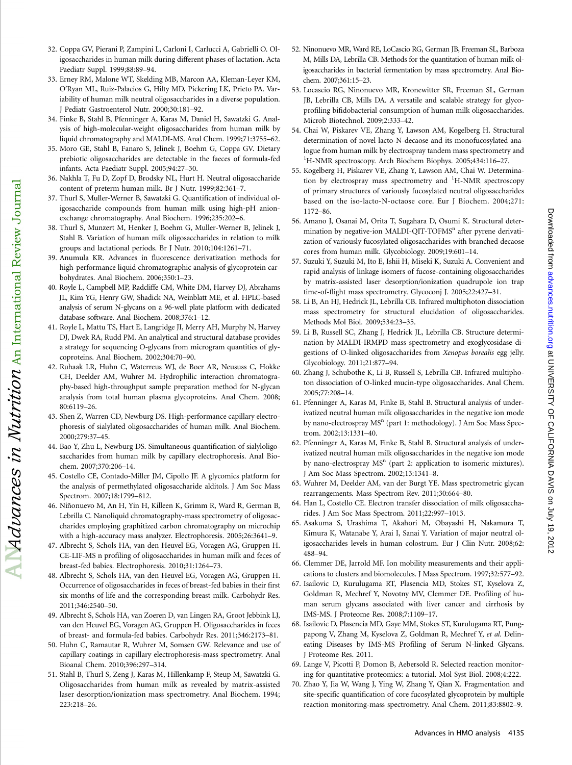Downloaded trop using the UNIVERSITY OF CALIFORNIA DAVIS on July 19, 2012 [advances.nutrition.org](http://advances.nutrition.org/) Downloaded from an  $\sim$ 

Downloaded from advariances.nutrition.org at UNIVERSITY OF CALIFORNIA DAVIS 2012

- 32. Coppa GV, Pierani P, Zampini L, Carloni I, Carlucci A, Gabrielli O. Oligosaccharides in human milk during different phases of lactation. Acta Paediatr Suppl. 1999;88:89–94.
- 33. Erney RM, Malone WT, Skelding MB, Marcon AA, Kleman-Leyer KM, O'Ryan ML, Ruiz-Palacios G, Hilty MD, Pickering LK, Prieto PA. Variability of human milk neutral oligosaccharides in a diverse population. J Pediatr Gastroenterol Nutr. 2000;30:181–92.
- 34. Finke B, Stahl B, Pfenninger A, Karas M, Daniel H, Sawatzki G. Analysis of high-molecular-weight oligosaccharides from human milk by liquid chromatography and MALDI-MS. Anal Chem. 1999;71:3755–62.
- 35. Moro GE, Stahl B, Fanaro S, Jelinek J, Boehm G, Coppa GV. Dietary prebiotic oligosaccharides are detectable in the faeces of formula-fed infants. Acta Paediatr Suppl. 2005;94:27–30.
- 36. Nakhla T, Fu D, Zopf D, Brodsky NL, Hurt H. Neutral oligosaccharide content of preterm human milk. Br J Nutr. 1999;82:361–7.
- 37. Thurl S, Muller-Werner B, Sawatzki G. Quantification of individual oligosaccharide compounds from human milk using high-pH anionexchange chromatography. Anal Biochem. 1996;235:202–6.
- 38. Thurl S, Munzert M, Henker J, Boehm G, Muller-Werner B, Jelinek J, Stahl B. Variation of human milk oligosaccharides in relation to milk groups and lactational periods. Br J Nutr. 2010;104:1261–71.
- 39. Anumula KR. Advances in fluorescence derivatization methods for high-performance liquid chromatographic analysis of glycoprotein carbohydrates. Anal Biochem. 2006;350:1–23.
- 40. Royle L, Campbell MP, Radcliffe CM, White DM, Harvey DJ, Abrahams JL, Kim YG, Henry GW, Shadick NA, Weinblatt ME, et al. HPLC-based analysis of serum N-glycans on a 96-well plate platform with dedicated database software. Anal Biochem. 2008;376:1–12.
- 41. Royle L, Mattu TS, Hart E, Langridge JI, Merry AH, Murphy N, Harvey DJ, Dwek RA, Rudd PM. An analytical and structural database provides a strategy for sequencing O-glycans from microgram quantities of glycoproteins. Anal Biochem. 2002;304:70–90.
- 42. Ruhaak LR, Huhn C, Waterreus WJ, de Boer AR, Neususs C, Hokke CH, Deelder AM, Wuhrer M. Hydrophilic interaction chromatography-based high-throughput sample preparation method for N-glycan analysis from total human plasma glycoproteins. Anal Chem. 2008; 80:6119–26.

 $\Delta$ duances in Nutrition  $\Lambda$ n International Review Journal

- 43. Shen Z, Warren CD, Newburg DS. High-performance capillary electrophoresis of sialylated oligosaccharides of human milk. Anal Biochem. 2000;279:37–45.
- 44. Bao Y, Zhu L, Newburg DS. Simultaneous quantification of sialyloligosaccharides from human milk by capillary electrophoresis. Anal Biochem. 2007;370:206–14.
- 45. Costello CE, Contado-Miller JM, Cipollo JF. A glycomics platform for the analysis of permethylated oligosaccharide alditols. J Am Soc Mass Spectrom. 2007;18:1799–812.
- 46. Niñonuevo M, An H, Yin H, Killeen K, Grimm R, Ward R, German B, Lebrilla C. Nanoliquid chromatography-mass spectrometry of oligosaccharides employing graphitized carbon chromatography on microchip with a high-accuracy mass analyzer. Electrophoresis. 2005;26:3641–9.
- 47. Albrecht S, Schols HA, van den Heuvel EG, Voragen AG, Gruppen H. CE-LIF-MS n profiling of oligosaccharides in human milk and feces of breast-fed babies. Electrophoresis. 2010;31:1264–73.
- 48. Albrecht S, Schols HA, van den Heuvel EG, Voragen AG, Gruppen H. Occurrence of oligosaccharides in feces of breast-fed babies in their first six months of life and the corresponding breast milk. Carbohydr Res. 2011;346:2540–50.
- 49. Albrecht S, Schols HA, van Zoeren D, van Lingen RA, Groot Jebbink LJ, van den Heuvel EG, Voragen AG, Gruppen H. Oligosaccharides in feces of breast- and formula-fed babies. Carbohydr Res. 2011;346:2173–81.
- 50. Huhn C, Ramautar R, Wuhrer M, Somsen GW. Relevance and use of capillary coatings in capillary electrophoresis-mass spectrometry. Anal Bioanal Chem. 2010;396:297–314.
- 51. Stahl B, Thurl S, Zeng J, Karas M, Hillenkamp F, Steup M, Sawatzki G. Oligosaccharides from human milk as revealed by matrix-assisted laser desorption/ionization mass spectrometry. Anal Biochem. 1994; 223:218–26.
- 52. Ninonuevo MR, Ward RE, LoCascio RG, German JB, Freeman SL, Barboza M, Mills DA, Lebrilla CB. Methods for the quantitation of human milk oligosaccharides in bacterial fermentation by mass spectrometry. Anal Biochem. 2007;361:15–23.
- 53. Locascio RG, Ninonuevo MR, Kronewitter SR, Freeman SL, German JB, Lebrilla CB, Mills DA. A versatile and scalable strategy for glycoprofiling bifidobacterial consumption of human milk oligosaccharides. Microb Biotechnol. 2009;2:333–42.
- 54. Chai W, Piskarev VE, Zhang Y, Lawson AM, Kogelberg H. Structural determination of novel lacto-N-decaose and its monofucosylated analogue from human milk by electrospray tandem mass spectrometry and <sup>1</sup>H-NMR spectroscopy. Arch Biochem Biophys. 2005;434:116-27.
- 55. Kogelberg H, Piskarev VE, Zhang Y, Lawson AM, Chai W. Determination by electrospray mass spectrometry and <sup>1</sup>H-NMR spectroscopy of primary structures of variously fucosylated neutral oligosaccharides based on the iso-lacto-N-octaose core. Eur J Biochem. 2004;271: 1172–86.
- 56. Amano J, Osanai M, Orita T, Sugahara D, Osumi K. Structural determination by negative-ion MALDI-QIT-TOFMS<sup>n</sup> after pyrene derivatization of variously fucosylated oligosaccharides with branched decaose cores from human milk. Glycobiology. 2009;19:601–14.
- 57. Suzuki Y, Suzuki M, Ito E, Ishii H, Miseki K, Suzuki A. Convenient and rapid analysis of linkage isomers of fucose-containing oligosaccharides by matrix-assisted laser desorption/ionization quadrupole ion trap time-of-flight mass spectrometry. Glycoconj J. 2005;22:427–31.
- 58. Li B, An HJ, Hedrick JL, Lebrilla CB. Infrared multiphoton dissociation mass spectrometry for structural elucidation of oligosaccharides. Methods Mol Biol. 2009;534:23–35.
- 59. Li B, Russell SC, Zhang J, Hedrick JL, Lebrilla CB. Structure determination by MALDI-IRMPD mass spectrometry and exoglycosidase digestions of O-linked oligosaccharides from Xenopus borealis egg jelly. Glycobiology. 2011;21:877–94.
- 60. Zhang J, Schubothe K, Li B, Russell S, Lebrilla CB. Infrared multiphoton dissociation of O-linked mucin-type oligosaccharides. Anal Chem. 2005;77:208–14.
- 61. Pfenninger A, Karas M, Finke B, Stahl B. Structural analysis of underivatized neutral human milk oligosaccharides in the negative ion mode by nano-electrospray MS<sup>n</sup> (part 1: methodology). J Am Soc Mass Spectrom. 2002;13:1331–40.
- 62. Pfenninger A, Karas M, Finke B, Stahl B. Structural analysis of underivatized neutral human milk oligosaccharides in the negative ion mode by nano-electrospray  $MS<sup>n</sup>$  (part 2: application to isomeric mixtures). J Am Soc Mass Spectrom. 2002;13:1341–8.
- 63. Wuhrer M, Deelder AM, van der Burgt YE. Mass spectrometric glycan rearrangements. Mass Spectrom Rev. 2011;30:664–80.
- 64. Han L, Costello CE. Electron transfer dissociation of milk oligosaccharides. J Am Soc Mass Spectrom. 2011;22:997–1013.
- 65. Asakuma S, Urashima T, Akahori M, Obayashi H, Nakamura T, Kimura K, Watanabe Y, Arai I, Sanai Y. Variation of major neutral oligosaccharides levels in human colostrum. Eur J Clin Nutr. 2008;62: 488–94.
- 66. Clemmer DE, Jarrold MF. Ion mobility measurements and their applications to clusters and biomolecules. J Mass Spectrom. 1997;32:577–92.
- 67. Isailovic D, Kurulugama RT, Plasencia MD, Stokes ST, Kyselova Z, Goldman R, Mechref Y, Novotny MV, Clemmer DE. Profiling of human serum glycans associated with liver cancer and cirrhosis by IMS-MS. J Proteome Res. 2008;7:1109–17.
- 68. Isailovic D, Plasencia MD, Gaye MM, Stokes ST, Kurulugama RT, Pungpapong V, Zhang M, Kyselova Z, Goldman R, Mechref Y, et al. Delineating Diseases by IMS-MS Profiling of Serum N-linked Glycans. J Proteome Res. 2011.
- 69. Lange V, Picotti P, Domon B, Aebersold R. Selected reaction monitoring for quantitative proteomics: a tutorial. Mol Syst Biol. 2008;4:222.
- 70. Zhao Y, Jia W, Wang J, Ying W, Zhang Y, Qian X. Fragmentation and site-specific quantification of core fucosylated glycoprotein by multiple reaction monitoring-mass spectrometry. Anal Chem. 2011;83:8802–9.